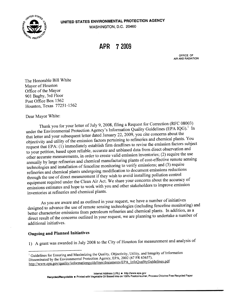UNITED STATES ENVIRONMENTAL PROTECTION AGENCY WASHINGTON, D.C. 20460

≹″  $\sum_{\zeta}$ ర్ ~  $\sim$  PRO $^{12}$ UNITED STATE

APR 7 2009

OFFICE OF AIR AND RADIATION

The Honorable Bill White Mayor of Houston Office of the Mayor 901 Bagby, 3rd Floor Post Office Box 1562 Houston, Texas 77251-1562

Dear Mayor White:

Thank you for your letter of July 9, 2008, filing a Request for Correction (RFC 08003) under the Environmental Protection Agency's Information Quality Guidelines (EPA IQG).<sup>1</sup> In that letter and your subsequent letter dated January 22, 2009, you cite concerns about the objectivity and utility of the emission factors pertaining to refineries and chemical plants . You request that EPA: (1) immediately establish firm deadlines to revise the emission factors subject to your petition, based upon reliable, accurate and unbiased data from direct observation and other accurate measurements, in order to create valid emission inventories; (2) require the use annually by large refineries and chemical manufacturing plants of cost-effective remote sensing technologies and installation of fenceline monitoring to verify emissions; and (3) require refineries and chemical plants undergoing modification to document emissions reductions through the use of direct measurement if they wish to avoid installing pollution control equipment required under the Clean Air Act. We share your concerns about the accuracy of emissions estimates and hope to work with you and other stakeholders to improve emission inventories at refineries and chemical plants .

As you are aware and as outlined in your request, we have a number of initiatives designed to advance the use of remote sensing technologies (including fenceline monitoring) and better characterize emissions from petroleum refineries and chemical plants. In addition, as a direct result of the concerns outlined in your request, we are planning to undertake a number of additional initiatives.

## Ongoing and Planned Initiatives

1) A grant was awarded in July 2008 to the City of Houston for measurement and analysis of

Recycled/Recyclable · Printed with Vegetable Oil Based Inks on 100% Postconsumer, Process Chlorine Free Recycled Paper

<sup>&#</sup>x27; Guidelines for Ensuring and Maximizing the Quality, Objectivity, Utility, and Integrity of Information Disseminated by the Environmental Protection Agency, EPA, 2002 (67 FR 63657). http://www.epa.gov/quality/informationguidelines/documents/EPA InfoQualityGuidelines.pdf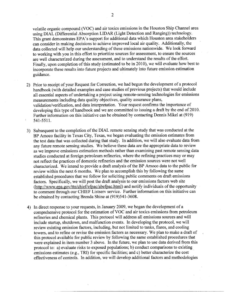volatile organic compound (VOC) and air toxics emissions in the Houston Ship Channel area using DIAL (Differential Absorption LIDAR (Light Detection and Ranging)) technology. This grant demonstrates EPA's support for additional data which Houston area stakeholders can consider in making decisions to achieve improved local air quality. Additionally, the data collected will help our understanding of these emissions nationwide. We look forward to working with you in this effort to prioritize sources for assessment, to ensure the sources are well characterized during the assessment, and to understand the results of the effort. Finally, upon completion of this study (estimated to be in 2010), we will evaluate how best to incorporate these results into future projects and ultimately into future emission estimation guidance.

- 2) Prior to receipt of your Request for Correction, we had begun the development of a protocol handbook (with detailed examples and case studies of previous projects) that would include all essential aspects of undertaking a project using remote-sensing technologies for emissions measurements including data quality objectives, quality assurance plans, validation/verification, and data interpretation. Your request confirms the importance of developing this type of handbook and we are committed to issuing a draft by the end of 2010. Further information on this initiative can be obtained by contacting Dennis Mikel at (919) 541-5511 .
- 3) Subsequent to the completion of the DIAL remote sensing study that was conducted at the BP Amoco facility in Texas City, Texas, we began evaluating the emission estimates from the test data that was collected during that study. In addition, we will also evaluate data from any future remote sensing studies. We believe these data are the appropriate data to review as we improve emissions estimation methods rather than examining past remote sensing data studies conducted at foreign petroleum refineries, where the refining practices may or may not reflect the practices of domestic refineries and the emission sources were not well characterized. We intend to provide a draft analysis of the BP Amoco data to the public for review within the next 6 months. We plan to accomplish this by following the same established procedures that we follow for soliciting public comments on draft emissions factors. Specifically, we will post the draft analysis to our emissions factors web site (http ://www.epa.gov/ttn/chief/efpac/abefpac.html) and notify individuals of the opportunity to comment through our CHIEF Listserv service. Further information on this initiative can be obtained by contacting Brenda Shine at (919)541-3608.
- 4) In direct response to your requests, in January 2009, we began the development of a comprehensive protocol for the estimation of VOC and air toxics emissions from petroleum refineries and chemical plants. This protocol will address all emissions sources and will include startup, shutdown, and malfunction events. In developing the protocol, we will review existing emission factors, including, but not limited to tanks, flares, and cooling towers, and to refine or revise the emission factors as necessary. We plan to make a draft of this protocol available for public review by following the same established procedures that were explained in item number 3 above. In the future, we plan to use data derived from this protocol to: a) evaluate risks to exposed populations; b) conduct comparisons to existing emissions estimates (e.g., TRI) for specific facilities; and c) better characterize the cost effectiveness of controls. In addition, we will develop additional factors and methodologies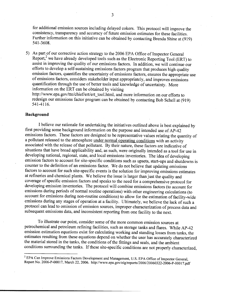for additional emission sources including delayed cokers . This protocol will improve the consistency, transparency and accuracy of future emission estimates for these facilities. Further information on this initiative can be obtained by contacting Brenda Shine at (919) 541-3608.

5) As part of our corrective action strategy to the 2006 EPA Office of Inspector General Report,<sup>2</sup> we have already developed tools such as the Electronic Reporting Tool (ERT) to assist in improving the quality of our emissions factors . In addition, we will continue our efforts to develop a self-sustaining emissions factors program that produces high quality emission factors, quantifies the uncertainty of emissions factors, ensures the appropriate use of emissions factors, considers stakeholder input appropriately, and improves emissions quantification through the use of better tools and knowledge of uncertainty. More information on the ERT can be obtained by visiting

http ://www.epa.gov/ttn/chief/ert/ert\_tool .html, and more information on our efforts to redesign our emissions factor program can be obtained by contacting Bob Schell at (919) 541-4116.

## Background

I believe our rationale for undertaking the initiatives outlined above is best explained by first providing some background information on the purpose and intended use of AP-42 emissions factors. These factors are designed to be representative values relating the quantity of a pollutant released to the atmosphere under normal operating conditions with an activity associated with the release of that pollutant. By their nature, these factors are indicative of situations that have broad applicability and, as such, were originally intended as a tool for use in developing national, regional, state, and local emissions inventories. The idea of developing emission factors to account for site-specific conditions such as upsets, start-ups and shutdowns is counter to the definition of an emissions factor. We do not believe that updating emissions factors to account for such site-specific events is the solution for improving emissions estimates at refineries and chemical plants. We believe the issue is larger than just the quality and coverage of specific emission factors and speaks to the need for a comprehensive protocol for developing emission inventories. The protocol will combine emissions factors (to account for emissions during periods of normal routine operations) with other engineering calculations (to account for emissions during non-routine conditions) to allow for the estimation of facility-wide emissions during any stages of operation at a facility. Ultimately, we believe the lack of such a protocol can lead to omission of emission sources, improper characterization of process data and subsequent emissions data, and inconsistent reporting from one facility to the next.

To illustrate our point, consider some of the more common emission sources at petrochemical and petroleum refining facilities, such as storage tanks and flares. While AP-42 emission estimation equations exist for calculating working and standing losses from tanks, the estimates resulting from these equations depend on whether the user has accurately characterized the material stored in the tanks, the conditions of the fittings and seals, and the ambient conditions surrounding the tanks. If these site-specific conditions are not properly characterized,

<sup>&</sup>lt;sup>2</sup> EPA Can Improve Emissions Factors Development and Management, U.S. EPA Office of Inspector General, Report No. 2006-P-00017, March 22, 2006. http://www.epa.gov/oig/reports/2006/20060322-2006-P-00017.pdf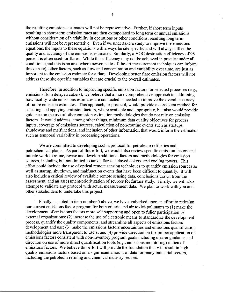the resulting emissions estimates will not be representative. Further, if short term inputs resulting in short-term emission rates are then extrapolated to long term or annual emissions without consideration of variability in operations or other conditions, resulting long term emissions will not be representative. Even if we undertake a study to improve the emissions equations, the inputs to these equations will always be site specific and will always affect the quality and accuracy of the emissions estimates. Similarly, a VOC destruction efficiency of 98 percent is often used for flares. While this efficiency may not be achieved in practice under all conditions (and this is an area where newer, state-of-the-art measurement techniques can inform this debate), other factors, such as flow and concentration and variability over time, are just as important to the emission estimate for a flare. Developing better flare emission factors will not address these site-specific variables that are crucial to the overall estimates.

Therefore, in addition to improving specific emission factors for selected processes (e.g., emissions from delayed cokers), we believe that a more comprehensive approach to addressing how facility-wide emissions estimates are conducted is needed to improve the overall accuracy of future emission estimates. This approach, or protocol, would provide a consistent method for selecting and applying emission factors, where available and appropriate, but also would provide guidance on the use of other emission estimation methodologies that do not rely on emission factors. It would address, among other things, minimum data quality objectives for process inputs, coverage of emissions sources, calculation of non-routine events such as startups, shutdowns and malfunctions, and inclusion of other information that would inform the estimates such as temporal variability in processing operations.

We are committed to developing such a protocol for petroleum refineries and petrochemical plants . As part of this effort, we would also review specific emission factors and initiate work to refine, revise and develop additional factors and methodologies for emission sources, including but not limited to tanks, flares, delayed cokers, and cooling towers. This effort could include the use of optical remote sensing techniques to quantify emission sources as well as startup, shutdown, and malfunction events that have been difficult to quantify. It will also include a critical review of available remote sensing data, conclusions drawn from the assessment, and an assessment/prioritization of sources for further study. Finally, we will also attempt to validate any protocol with actual measurement data. We plan to work with you and other stakeholders to undertake this project.

Finally, as noted in item number 5 above, we have embarked upon an effort to redesign our current emissions factor program for both criteria and air toxics pollutants to (1) make the development of emissions factors more self supporting and open to fuller participation by external organizations; (2) increase the use of electronic means to standardize the development process, quantify the quality components, and streamline all aspects of emissions factors development and use; (3) make the emissions factors uncertainties and emissions quantification methodologies more transparent to users; and (4) provide direction on the proper application of emissions factors consistent with non-inventory program goals including clearer guidance and direction on use of more direct quantification tools (e .g ., emissions monitoring) in lieu of emissions factors. We believe this effort will provide the foundation that will result in high quality emissions factors based on a significant amount of data for many industrial sectors, including the petroleum refining and chemical industry sectors.